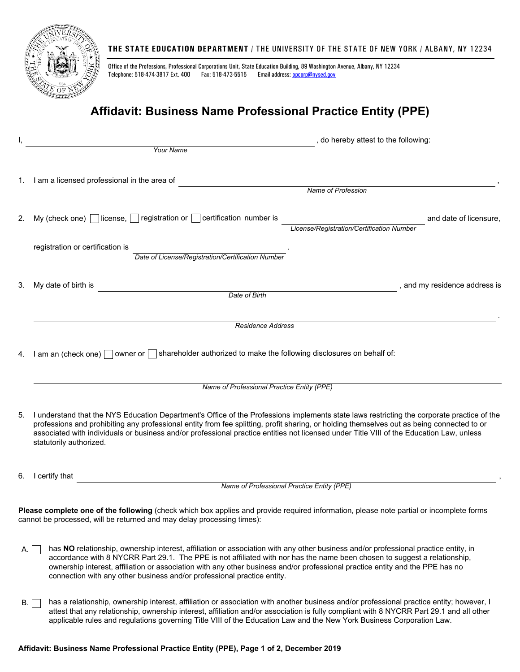

## **THE STATE EDUCATION DEPARTMENT** / THE UNIVERSITY OF THE STATE OF NEW YORK / ALBANY, NY 12234

Office of the Professions, Professional Corporations Unit, State Education Building, 89 Washington Avenue, Albany, NY 12234 Telephone: 518-474-3817 Ext. 400 Fax: 518-473-5515 Email address: [opcorp@nysed.gov](mailto:opcorp@nysed.gov)

## **Affidavit: Business Name Professional Practice Entity (PPE)**

| Ι, | , do hereby attest to the following:                                                                                                                                                                                                                                                                                                                                                                                                                            |  |  |  |
|----|-----------------------------------------------------------------------------------------------------------------------------------------------------------------------------------------------------------------------------------------------------------------------------------------------------------------------------------------------------------------------------------------------------------------------------------------------------------------|--|--|--|
|    | Your Name                                                                                                                                                                                                                                                                                                                                                                                                                                                       |  |  |  |
| 1. | I am a licensed professional in the area of                                                                                                                                                                                                                                                                                                                                                                                                                     |  |  |  |
|    | Name of Profession                                                                                                                                                                                                                                                                                                                                                                                                                                              |  |  |  |
| 2. | My (check one) $\Box$ license, $\Box$ registration or $\Box$ certification number is<br>and date of licensure,<br>License/Registration/Certification Number                                                                                                                                                                                                                                                                                                     |  |  |  |
|    | registration or certification is<br>Date of License/Registration/Certification Number                                                                                                                                                                                                                                                                                                                                                                           |  |  |  |
| 3. | My date of birth is<br>, and my residence address is                                                                                                                                                                                                                                                                                                                                                                                                            |  |  |  |
|    | Date of Birth                                                                                                                                                                                                                                                                                                                                                                                                                                                   |  |  |  |
|    |                                                                                                                                                                                                                                                                                                                                                                                                                                                                 |  |  |  |
|    | <b>Residence Address</b>                                                                                                                                                                                                                                                                                                                                                                                                                                        |  |  |  |
| 4. | I am an (check one) $\Box$ owner or $\Box$ shareholder authorized to make the following disclosures on behalf of:                                                                                                                                                                                                                                                                                                                                               |  |  |  |
|    | Name of Professional Practice Entity (PPE)                                                                                                                                                                                                                                                                                                                                                                                                                      |  |  |  |
| 5. | I understand that the NYS Education Department's Office of the Professions implements state laws restricting the corporate practice of the<br>professions and prohibiting any professional entity from fee splitting, profit sharing, or holding themselves out as being connected to or<br>associated with individuals or business and/or professional practice entities not licensed under Title VIII of the Education Law, unless<br>statutorily authorized. |  |  |  |
| 6. | I certify that                                                                                                                                                                                                                                                                                                                                                                                                                                                  |  |  |  |
|    | Name of Professional Practice Entity (PPE)                                                                                                                                                                                                                                                                                                                                                                                                                      |  |  |  |
|    | <b>Please complete one of the following</b> (check which box applies and provide required information, please note partial or incomplete forms<br>cannot be processed, will be returned and may delay processing times):                                                                                                                                                                                                                                        |  |  |  |
| А. | has NO relationship, ownership interest, affiliation or association with any other business and/or professional practice entity, in<br>accordance with 8 NYCRR Part 29.1. The PPE is not affiliated with nor has the name been chosen to suggest a relationship,<br>ownership interest, affiliation or association with any other business and/or professional practice entity and the PPE has no                                                               |  |  |  |

B. in has a relationship, ownership interest, affiliation or association with another business and/or professional practice entity; however, I attest that any relationship, ownership interest, affiliation and/or association is fully compliant with 8 NYCRR Part 29.1 and all other applicable rules and regulations governing Title VIII of the Education Law and the New York Business Corporation Law.

connection with any other business and/or professional practice entity.